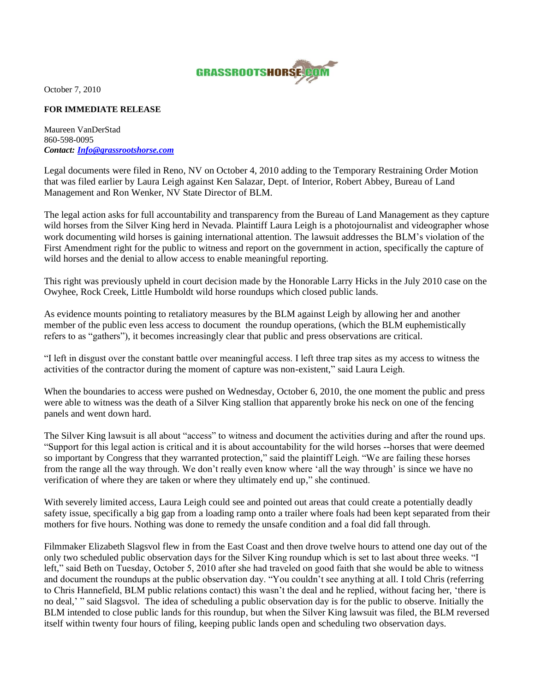

October 7, 2010

## **FOR IMMEDIATE RELEASE**

Maureen VanDerStad 860-598-0095 *Contact: [Info@grassrootshorse.com](mailto:Info@grassrootshorse.com)*

Legal documents were filed in Reno, NV on October 4, 2010 adding to the Temporary Restraining Order Motion that was filed earlier by Laura Leigh against Ken Salazar, Dept. of Interior, Robert Abbey, Bureau of Land Management and Ron Wenker, NV State Director of BLM.

The legal action asks for full accountability and transparency from the Bureau of Land Management as they capture wild horses from the Silver King herd in Nevada. Plaintiff Laura Leigh is a photojournalist and videographer whose work documenting wild horses is gaining international attention. The lawsuit addresses the BLM"s violation of the First Amendment right for the public to witness and report on the government in action, specifically the capture of wild horses and the denial to allow access to enable meaningful reporting.

This right was previously upheld in court decision made by the Honorable Larry Hicks in the July 2010 case on the Owyhee, Rock Creek, Little Humboldt wild horse roundups which closed public lands.

As evidence mounts pointing to retaliatory measures by the BLM against Leigh by allowing her and another member of the public even less access to document the roundup operations, (which the BLM euphemistically refers to as "gathers"), it becomes increasingly clear that public and press observations are critical.

"I left in disgust over the constant battle over meaningful access. I left three trap sites as my access to witness the activities of the contractor during the moment of capture was non-existent," said Laura Leigh.

When the boundaries to access were pushed on Wednesday, October 6, 2010, the one moment the public and press were able to witness was the death of a Silver King stallion that apparently broke his neck on one of the fencing panels and went down hard.

The Silver King lawsuit is all about "access" to witness and document the activities during and after the round ups. "Support for this legal action is critical and it is about accountability for the wild horses --horses that were deemed so important by Congress that they warranted protection," said the plaintiff Leigh. "We are failing these horses from the range all the way through. We don't really even know where 'all the way through' is since we have no verification of where they are taken or where they ultimately end up," she continued.

With severely limited access, Laura Leigh could see and pointed out areas that could create a potentially deadly safety issue, specifically a big gap from a loading ramp onto a trailer where foals had been kept separated from their mothers for five hours. Nothing was done to remedy the unsafe condition and a foal did fall through.

Filmmaker Elizabeth Slagsvol flew in from the East Coast and then drove twelve hours to attend one day out of the only two scheduled public observation days for the Silver King roundup which is set to last about three weeks. "I left," said Beth on Tuesday, October 5, 2010 after she had traveled on good faith that she would be able to witness and document the roundups at the public observation day. "You couldn"t see anything at all. I told Chris (referring to Chris Hannefield, BLM public relations contact) this wasn"t the deal and he replied, without facing her, "there is no deal," " said Slagsvol. The idea of scheduling a public observation day is for the public to observe. Initially the BLM intended to close public lands for this roundup, but when the Silver King lawsuit was filed, the BLM reversed itself within twenty four hours of filing, keeping public lands open and scheduling two observation days.